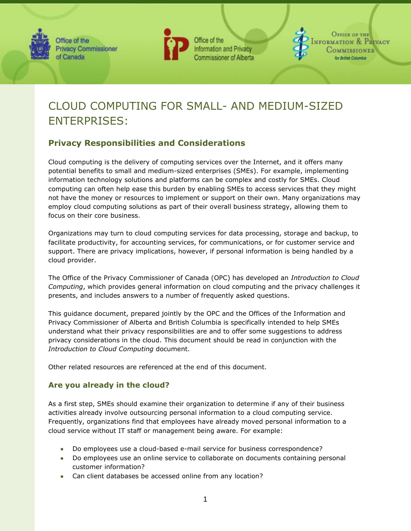



Office of the Information and Privacy **Commissioner of Alberta** 

**OFFICE OF THE JFORMATION & PRIVACY** 

# CLOUD COMPUTING FOR SMALL- AND MEDIUM-SIZED ENTERPRISES:

# **Privacy Responsibilities and Considerations**

Cloud computing is the delivery of computing services over the Internet, and it offers many potential benefits to small and medium-sized enterprises (SMEs). For example, implementing information technology solutions and platforms can be complex and costly for SMEs. Cloud computing can often help ease this burden by enabling SMEs to access services that they might not have the money or resources to implement or support on their own. Many organizations may employ cloud computing solutions as part of their overall business strategy, allowing them to focus on their core business.

Organizations may turn to cloud computing services for data processing, storage and backup, to facilitate productivity, for accounting services, for communications, or for customer service and support. There are privacy implications, however, if personal information is being handled by a cloud provider.

The Office of the Privacy Commissioner of Canada (OPC) has developed an *[Introduction to Cloud](http://www.priv.gc.ca/fs-fi/02_05_d_51_cc_e.cfm)  [Computing](http://www.priv.gc.ca/fs-fi/02_05_d_51_cc_e.cfm)*, which provides general information on cloud computing and the privacy challenges it presents, and includes answers to a number of frequently asked questions.

This guidance document, prepared jointly by the OPC and the Offices of the Information and Privacy Commissioner of Alberta and British Columbia is specifically intended to help SMEs understand what their privacy responsibilities are and to offer some suggestions to address privacy considerations in the cloud. This document should be read in conjunction with the *[Introduction to Cloud Computing](http://www.priv.gc.ca/fs-fi/02_05_d_51_cc_e.cfm)* document.

Other related resources are referenced at the end of this document.

## **Are you already in the cloud?**

As a first step, SMEs should examine their organization to determine if any of their business activities already involve outsourcing personal information to a cloud computing service. Frequently, organizations find that employees have already moved personal information to a cloud service without IT staff or management being aware. For example:

- Do employees use a cloud-based e-mail service for business correspondence?
- Do employees use an online service to collaborate on documents containing personal customer information?
- Can client databases be accessed online from any location?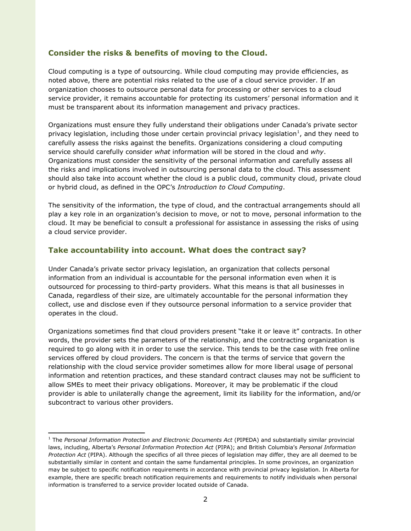### **Consider the risks & benefits of moving to the Cloud.**

Cloud computing is a type of outsourcing. While cloud computing may provide efficiencies, as noted above, there are potential risks related to the use of a cloud service provider. If an organization chooses to outsource personal data for processing or other services to a cloud service provider, it remains accountable for protecting its customers' personal information and it must be transparent about its information management and privacy practices.

Organizations must ensure they fully understand their obligations under Canada's private sector privacy legislation, including those under certain provincial privacy legislation<sup>1</sup>, and they need to carefully assess the risks against the benefits. Organizations considering a cloud computing service should carefully consider *what* information will be stored in the cloud and *why*. Organizations must consider the sensitivity of the personal information and carefully assess all the risks and implications involved in outsourcing personal data to the cloud. This assessment should also take into account whether the cloud is a public cloud, community cloud, private cloud or hybrid cloud, as defined in the OPC's *[Introduction to Cloud Computing](http://www.priv.gc.ca/fs-fi/02_05_d_51_cc_02_e.cfm)*.

The sensitivity of the information, the type of cloud, and the contractual arrangements should all play a key role in an organization's decision to move, or not to move, personal information to the cloud. It may be beneficial to consult a professional for assistance in assessing the risks of using a cloud service provider.

## **Take accountability into account. What does the contract say?**

Under Canada's private sector privacy legislation, an organization that collects personal information from an individual is accountable for the personal information even when it is outsourced for processing to third-party providers. What this means is that all businesses in Canada, regardless of their size, are ultimately accountable for the personal information they collect, use and disclose even if they outsource personal information to a service provider that operates in the cloud.

Organizations sometimes find that cloud providers present "take it or leave it" contracts. In other words, the provider sets the parameters of the relationship, and the contracting organization is required to go along with it in order to use the service. This tends to be the case with free online services offered by cloud providers. The concern is that the terms of service that govern the relationship with the cloud service provider sometimes allow for more liberal usage of personal information and retention practices, and these standard contract clauses may not be sufficient to allow SMEs to meet their privacy obligations. Moreover, it may be problematic if the cloud provider is able to unilaterally change the agreement, limit its liability for the information, and/or subcontract to various other providers.

<sup>1</sup> The *Personal Information Protection and Electronic Documents Act* (PIPEDA) and substantially similar provincial laws, including, Alberta's *Personal Information Protection Act* (PIPA); and British Columbia's *Personal Information Protection Act* (PIPA). Although the specifics of all three pieces of legislation may differ, they are all deemed to be substantially similar in content and contain the same fundamental principles. In some provinces, an organization may be subject to specific notification requirements in accordance with provincial privacy legislation. In Alberta for example, there are specific breach notification requirements and requirements to notify individuals when personal information is transferred to a service provider located outside of Canada.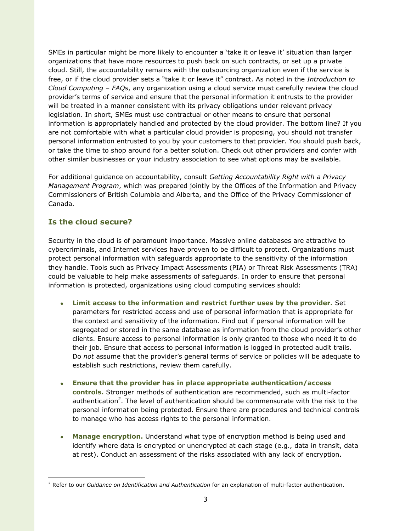SMEs in particular might be more likely to encounter a 'take it or leave it' situation than larger organizations that have more resources to push back on such contracts, or set up a private cloud. Still, the accountability remains with the outsourcing organization even if the service is free, or if the cloud provider sets a "take it or leave it" contract. As noted in the *[Introduction to](http://www.priv.gc.ca/fs-fi/02_05_d_51_cc_01_e.cfm)  [Cloud Computing](http://www.priv.gc.ca/fs-fi/02_05_d_51_cc_01_e.cfm) – FAQs*, any organization using a cloud service must carefully review the cloud provider's terms of service and ensure that the personal information it entrusts to the provider will be treated in a manner consistent with its privacy obligations under relevant privacy legislation. In short, SMEs must use contractual or other means to ensure that personal information is appropriately handled and protected by the cloud provider. The bottom line? If you are not comfortable with what a particular cloud provider is proposing, you should not transfer personal information entrusted to you by your customers to that provider. You should push back, or take the time to shop around for a better solution. Check out other providers and confer with other similar businesses or your industry association to see what options may be available.

For additional guidance on accountability, consult *[Getting Accountability Right with a Privacy](http://www.priv.gc.ca/information/guide/2012/gl_acc_201204_e.asp)  [Management Program](http://www.priv.gc.ca/information/guide/2012/gl_acc_201204_e.asp)*, which was prepared jointly by the Offices of the Information and Privacy Commissioners of British Columbia and Alberta, and the Office of the Privacy Commissioner of Canada.

## **Is the cloud secure?**

Security in the cloud is of paramount importance. Massive online databases are attractive to cybercriminals, and Internet services have proven to be difficult to protect. Organizations must protect personal information with safeguards appropriate to the sensitivity of the information they handle. Tools such as Privacy Impact Assessments (PIA) or Threat Risk Assessments (TRA) could be valuable to help make assessments of safeguards. In order to ensure that personal information is protected, organizations using cloud computing services should:

- **Limit access to the information and restrict further uses by the provider.** Set parameters for restricted access and use of personal information that is appropriate for the context and sensitivity of the information. Find out if personal information will be segregated or stored in the same database as information from the cloud provider's other clients. Ensure access to personal information is only granted to those who need it to do their job. Ensure that access to personal information is logged in protected audit trails. Do *not* assume that the provider's general terms of service or policies will be adequate to establish such restrictions, review them carefully.
- **Ensure that the provider has in place appropriate authentication/access controls.** Stronger methods of authentication are recommended, such as multi-factor authentication<sup>2</sup>. The level of authentication should be commensurate with the risk to the personal information being protected. Ensure there are procedures and technical controls to manage who has access rights to the personal information.
- **Manage encryption.** Understand what type of encryption method is being used and identify where data is encrypted or unencrypted at each stage (e.g., data in transit, data at rest). Conduct an assessment of the risks associated with any lack of encryption.

 $\overline{a}$ <sup>2</sup> Refer to our *[Guidance on Identification and Authentication](http://www.priv.gc.ca/information/guide/auth_061013_e.cfm)* for an explanation of multi-factor authentication.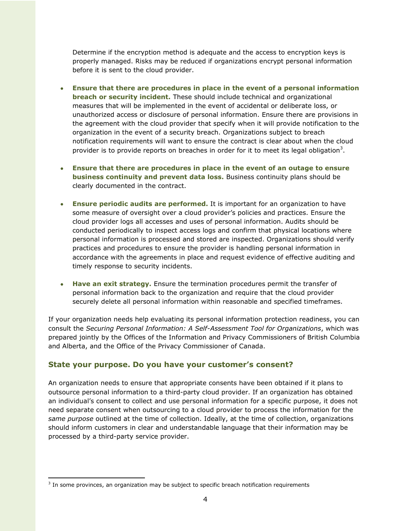Determine if the encryption method is adequate and the access to encryption keys is properly managed. Risks may be reduced if organizations encrypt personal information before it is sent to the cloud provider.

- **Ensure that there are procedures in place in the event of a personal information breach or security incident.** These should include technical and organizational measures that will be implemented in the event of accidental or deliberate loss, or unauthorized access or disclosure of personal information. Ensure there are provisions in the agreement with the cloud provider that specify when it will provide notification to the organization in the event of a security breach. Organizations subject to breach notification requirements will want to ensure the contract is clear about when the cloud provider is to provide reports on breaches in order for it to meet its legal obligation<sup>3</sup>.
- **Ensure that there are procedures in place in the event of an outage to ensure business continuity and prevent data loss.** Business continuity plans should be clearly documented in the contract.
- **Ensure periodic audits are performed.** It is important for an organization to have some measure of oversight over a cloud provider's policies and practices. Ensure the cloud provider logs all accesses and uses of personal information. Audits should be conducted periodically to inspect access logs and confirm that physical locations where personal information is processed and stored are inspected. Organizations should verify practices and procedures to ensure the provider is handling personal information in accordance with the agreements in place and request evidence of effective auditing and timely response to security incidents.
- **Have an exit strategy.** Ensure the termination procedures permit the transfer of personal information back to the organization and require that the cloud provider securely delete all personal information within reasonable and specified timeframes.

If your organization needs help evaluating its personal information protection readiness, you can consult the *[Securing Personal Information: A Self-Assessment Tool for Organizations](http://www.priv.gc.ca/resource/tool-outil/security-securite/english/AssessRisks.asp?x=1)*, which was prepared jointly by the Offices of the Information and Privacy Commissioners of British Columbia and Alberta, and the Office of the Privacy Commissioner of Canada.

#### **State your purpose. Do you have your customer's consent?**

An organization needs to ensure that appropriate consents have been obtained if it plans to outsource personal information to a third-party cloud provider. If an organization has obtained an individual's consent to collect and use personal information for a specific purpose, it does not need separate consent when outsourcing to a cloud provider to process the information for the *same purpose* outlined at the time of collection. Ideally, at the time of collection, organizations should inform customers in clear and understandable language that their information may be processed by a third-party service provider.

 $\overline{a}$ 

 $3$  In some provinces, an organization may be subject to specific breach notification requirements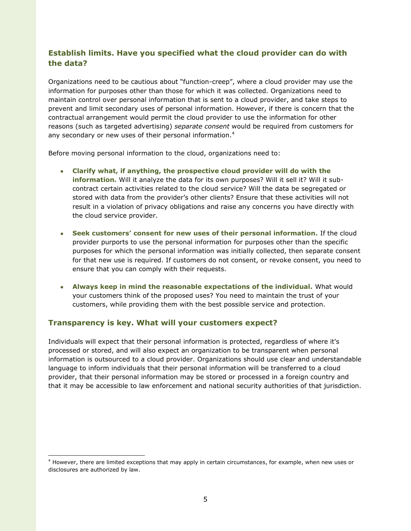## **Establish limits. Have you specified what the cloud provider can do with the data?**

Organizations need to be cautious about "function-creep", where a cloud provider may use the information for purposes other than those for which it was collected. Organizations need to maintain control over personal information that is sent to a cloud provider, and take steps to prevent and limit secondary uses of personal information. However, if there is concern that the contractual arrangement would permit the cloud provider to use the information for other reasons (such as targeted advertising) *separate consent* would be required from customers for any secondary or new uses of their personal information.<sup>4</sup>

Before moving personal information to the cloud, organizations need to:

- **Clarify what, if anything, the prospective cloud provider will do with the information.** Will it analyze the data for its own purposes? Will it sell it? Will it subcontract certain activities related to the cloud service? Will the data be segregated or stored with data from the provider's other clients? Ensure that these activities will not result in a violation of privacy obligations and raise any concerns you have directly with the cloud service provider.
- **Seek customers' consent for new uses of their personal information.** If the cloud provider purports to use the personal information for purposes other than the specific purposes for which the personal information was initially collected, then separate consent for that new use is required. If customers do not consent, or revoke consent, you need to ensure that you can comply with their requests.
- **Always keep in mind the reasonable expectations of the individual.** What would your customers think of the proposed uses? You need to maintain the trust of your customers, while providing them with the best possible service and protection.

## **Transparency is key. What will your customers expect?**

 $\overline{a}$ 

Individuals will expect that their personal information is protected, regardless of where it's processed or stored, and will also expect an organization to be transparent when personal information is outsourced to a cloud provider. Organizations should use clear and understandable language to inform individuals that their personal information will be transferred to a cloud provider, that their personal information may be stored or processed in a foreign country and that it may be accessible to law enforcement and national security authorities of that jurisdiction.

<sup>4</sup> However, there are limited exceptions that may apply in certain circumstances, for example, when new uses or disclosures are authorized by law.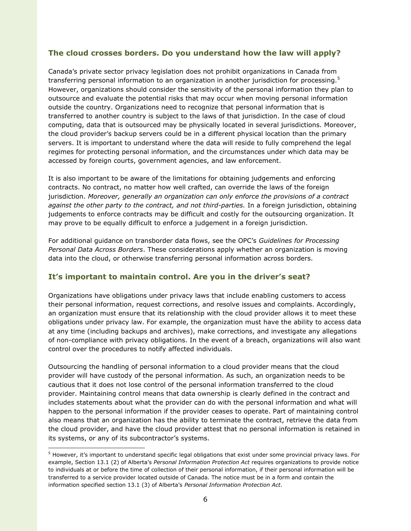## **The cloud crosses borders. Do you understand how the law will apply?**

Canada's private sector privacy legislation does not prohibit organizations in Canada from transferring personal information to an organization in another jurisdiction for processing.<sup>5</sup> However, organizations should consider the sensitivity of the personal information they plan to outsource and evaluate the potential risks that may occur when moving personal information outside the country. Organizations need to recognize that personal information that is transferred to another country is subject to the laws of that jurisdiction. In the case of cloud computing, data that is outsourced may be physically located in several jurisdictions. Moreover, the cloud provider's backup servers could be in a different physical location than the primary servers. It is important to understand where the data will reside to fully comprehend the legal regimes for protecting personal information, and the circumstances under which data may be accessed by foreign courts, government agencies, and law enforcement.

It is also important to be aware of the limitations for obtaining judgements and enforcing contracts. No contract, no matter how well crafted, can override the laws of the foreign jurisdiction. *Moreover, generally an organization can only enforce the provisions of a contract against the other party to the contract, and not third-parties.* In a foreign jurisdiction, obtaining judgements to enforce contracts may be difficult and costly for the outsourcing organization. It may prove to be equally difficult to enforce a judgement in a foreign jurisdiction.

For additional guidance on transborder data flows, see the OPC's *[Guidelines for Processing](http://www.priv.gc.ca/information/guide/2009/gl_dab_090127_e.pdf)  [Personal Data Across Borders](http://www.priv.gc.ca/information/guide/2009/gl_dab_090127_e.pdf)*. These considerations apply whether an organization is moving data into the cloud, or otherwise transferring personal information across borders.

## **It's important to maintain control. Are you in the driver's seat?**

Organizations have obligations under privacy laws that include enabling customers to access their personal information, request corrections, and resolve issues and complaints. Accordingly, an organization must ensure that its relationship with the cloud provider allows it to meet these obligations under privacy law. For example, the organization must have the ability to access data at any time (including backups and archives), make corrections, and investigate any allegations of non-compliance with privacy obligations. In the event of a breach, organizations will also want control over the procedures to notify affected individuals.

Outsourcing the handling of personal information to a cloud provider means that the cloud provider will have custody of the personal information. As such, an organization needs to be cautious that it does not lose control of the personal information transferred to the cloud provider. Maintaining control means that data ownership is clearly defined in the contract and includes statements about what the provider can do with the personal information and what will happen to the personal information if the provider ceases to operate. Part of maintaining control also means that an organization has the ability to terminate the contract, retrieve the data from the cloud provider, and have the cloud provider attest that no personal information is retained in its systems, or any of its subcontractor's systems.

 $\overline{a}$ 

<sup>&</sup>lt;sup>5</sup> However, it's important to understand specific legal obligations that exist under some provincial privacy laws. For example, Section 13.1 (2) of Alberta's *Personal Information Protection Act* requires organizations to provide notice to individuals at or before the time of collection of their personal information, if their personal information will be transferred to a service provider located outside of Canada. The notice must be in a form and contain the information specified section 13.1 (3) of Alberta's *Personal Information Protection Act*.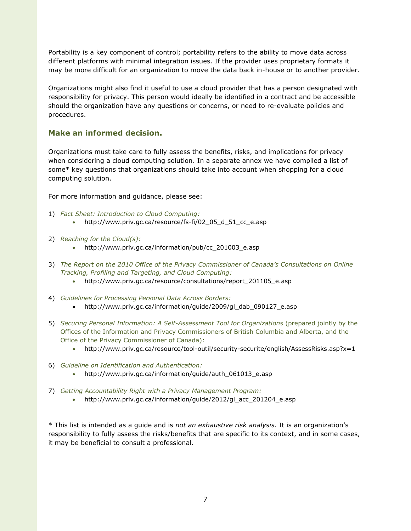Portability is a key component of control; portability refers to the ability to move data across different platforms with minimal integration issues. If the provider uses proprietary formats it may be more difficult for an organization to move the data back in-house or to another provider.

Organizations might also find it useful to use a cloud provider that has a person designated with responsibility for privacy. This person would ideally be identified in a contract and be accessible should the organization have any questions or concerns, or need to re-evaluate policies and procedures.

## **Make an informed decision.**

Organizations must take care to fully assess the benefits, risks, and implications for privacy when considering a cloud computing solution. In a separate annex we have compiled a list of some\* key questions that organizations should take into account when shopping for a cloud computing solution.

For more information and guidance, please see:

- 1) *[Fact Sheet: Introduction to Cloud Computing:](http://www.priv.gc.ca/fs-fi/02_05_d_51_cc_e.pdf)*
	- [http://www.priv.gc.ca/resource/fs-fi/02\\_05\\_d\\_51\\_cc\\_e.asp](http://www.priv.gc.ca/resource/fs-fi/02_05_d_51_cc_e.asp)
- 2) *Reaching for the Cloud(s):*
	- [http://www.priv.gc.ca/information/pub/cc\\_201003\\_e.asp](http://www.priv.gc.ca/information/pub/cc_201003_e.asp)
- 3) *The Report on the 2010 Office of the Privacy Commissioner of Canada's Consultations on Online Tracking, Profiling and Targeting, and Cloud Computing:*
	- [http://www.priv.gc.ca/resource/consultations/report\\_201105\\_e.asp](http://www.priv.gc.ca/resource/consultations/report_201105_e.asp)
- 4) *[Guidelines for Processing Personal Data Across Borders:](http://www.priv.gc.ca/information/guide/2009/gl_dab_090127_e.cfm)*
	- [http://www.priv.gc.ca/information/guide/2009/gl\\_dab\\_090127\\_e.asp](http://www.priv.gc.ca/information/guide/2009/gl_dab_090127_e.asp)
- 5) *[Securing Personal Information: A Self-Assessment Tool for Organizations](http://www.priv.gc.ca/resource/tool-outil/security-securite/english/AssessRisks.asp?x=1)* (prepared jointly by the Offices of the Information and Privacy Commissioners of British Columbia and Alberta, and the Office of the Privacy Commissioner of Canada):
	- http://www.priv.gc.ca/resource/tool-outil/security-securite/english/AssessRisks.asp?x=1
- 6) *Guideline [on Identification and Authentication:](http://www.priv.gc.ca/information/guide/auth_061013_e.cfm)*
	- [http://www.priv.gc.ca/information/guide/auth\\_061013\\_e.asp](http://www.priv.gc.ca/information/guide/auth_061013_e.asp)
- 7) *Getting Accountability [Right with a Privacy Management Program:](http://www.priv.gc.ca/information/guide/2012/gl_acc_201204_e.asp)*
	- [http://www.priv.gc.ca/information/guide/2012/gl\\_acc\\_201204\\_e.asp](http://www.priv.gc.ca/information/guide/2012/gl_acc_201204_e.asp)

\* This list is intended as a guide and is *not an exhaustive risk analysis*. It is an organization's responsibility to fully assess the risks/benefits that are specific to its context, and in some cases, it may be beneficial to consult a professional.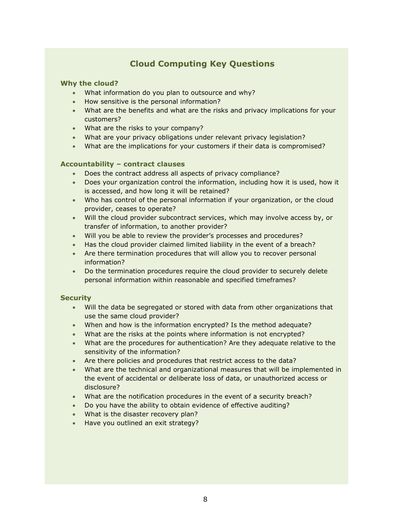# **Cloud Computing Key Questions**

#### **Why the cloud?**

- What information do you plan to outsource and why?
- How sensitive is the personal information?
- What are the benefits and what are the risks and privacy implications for your customers?
- What are the risks to your company?
- What are your privacy obligations under relevant privacy legislation?
- What are the implications for your customers if their data is compromised?

#### **Accountability – contract clauses**

- Does the contract address all aspects of privacy compliance?
- Does your organization control the information, including how it is used, how it is accessed, and how long it will be retained?
- Who has control of the personal information if your organization, or the cloud provider, ceases to operate?
- Will the cloud provider subcontract services, which may involve access by, or transfer of information, to another provider?
- Will you be able to review the provider's processes and procedures?
- Has the cloud provider claimed limited liability in the event of a breach?
- Are there termination procedures that will allow you to recover personal information?
- Do the termination procedures require the cloud provider to securely delete personal information within reasonable and specified timeframes?

#### **Security**

- Will the data be segregated or stored with data from other organizations that use the same cloud provider?
- When and how is the information encrypted? Is the method adequate?
- What are the risks at the points where information is not encrypted?
- What are the procedures for authentication? Are they adequate relative to the sensitivity of the information?
- Are there policies and procedures that restrict access to the data?
- What are the technical and organizational measures that will be implemented in the event of accidental or deliberate loss of data, or unauthorized access or disclosure?
- What are the notification procedures in the event of a security breach?
- Do you have the ability to obtain evidence of effective auditing?
- What is the disaster recovery plan?
- Have you outlined an exit strategy?